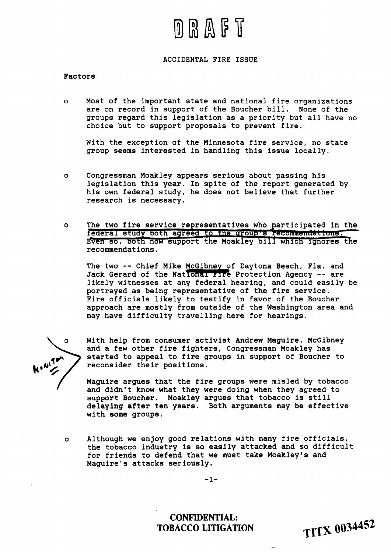# D R A F T

### **ACCIDENTAL FIRE ISSUE**

#### **Factors**

**o Most of the important state and national fire organizations are on record in support of the Boucher bill. None of the groups regard this legislation as a priority but all have no choice but to support proposals to prevent fire.** 

**With the exception of the Minnesota fire service, no state group seems interested in handling this issue locally.** 

- **o Congressman Moakley appears serious about passing his legislation this year. In spite of the report generated by his own federal study, he does not believe that further research is necessary.**
- **o The two fire service representatives who participated in the**  federal study both agreed to the group's recommendations. **fven so, botn now support the Moakley bill whlcn-ignores the recommendations.**  The two fire service representatives who participated in t<br> **Federal study both agreed to the group's recommendations.**<br> **EVen so, both now support the Moakley bill which ignores t**<br> **recommendations.**<br>
The two -- Chief Mi

The two -- Chief Mike McGibney of Daytona Beach, Fla. and Jack Gerard of the National Fire Protection Agency -- are **likely witnesses at any federal hearing, and could easily be portrayed as being representative of the fire service. Fire officials likely to testify in favor of the Boucher approach are mostly from outside of the Washington area and may have difficulty travelling here for hearings.** 

 $\Omega$ 

**With help from consumer activist Andrew Maguire, McGibney and a few other fire fighters, Congressman Moakley has started to appeal to fire groups in support of Boucher to reconsider their positions.** 

/ **Maguira argues that the fire groups were misled by tobacco and didn't know what they were doing when they agreed to support Boucher. Moakley argues that tobacco is still delaying after ten years. Both arguments may be effective with some groups.** 

**o Although we enjoy good relations with many fire officials, the tobacco industry is so easily attacked and so difficult for friends to defend that we must take Moakley's and Maguirels attacks seriously.** 

 $-1-$ 

**CONFIDENTIAL: TOBACCO LITIGATION** 

**TITX 0034452**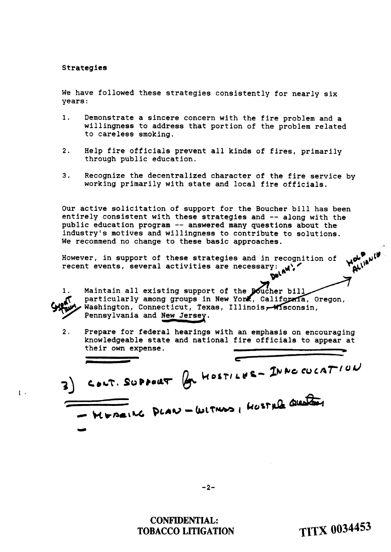#### Strategies

We have followed these strategies consistently for nearly six years:

- **1.** Demonstrate a sincere concern with the fire problem and a willingness to address that portion of the problem related to careless smoking.
- 2. Help fire officials prevent all kinds of fires, primarily through public education.
- **3.** Recognize the decentralized character of the fire service by working primarily with state and local fire officials.

Our active solicitation of support for the Boucher bill has been entirely consistent with these strategies and -- along with the public education program -- answered many questions about the industry's motives and willingness to contribute to solutions. We recommend no change to these basic approaches.

However, in support of these strategies and in recognition of recent events, several activities are necessary:



 $\mathfrak{t}$ .

**1.** Maintain all existing support of particularly among groups in New Yo Washington, Connecticut, Texas, Illinois, Wisconsin, Pennsylvania and New Jersey. Maintain all existing support of<br>particularly among groups in New<br>Washington, Connecticut, Texas<br>Pennsylvania and <u>New Jersey</u>.<br>Prenare for federal bearings w

2. Prepare for federal hearings with an emphasis on encouraging knowledgeable state and national fire officials to appear at

their own experiment of these transmissions of the second of these strategies and in recognition of  $\mathbf{w}^{\mathbf{v}}$  and  $\mathbf{v}^{\mathbf{v}}$  is events, several activities are necessary.  $\mathbf{w}^{\mathbf{v}}$ ,  $\mathbf{w}^{\mathbf{v}}$ ,  $\mathbf{w$ 

## **CONFIDENTIAL: TOBACCO LITIGATION**

**TITX 0034453**